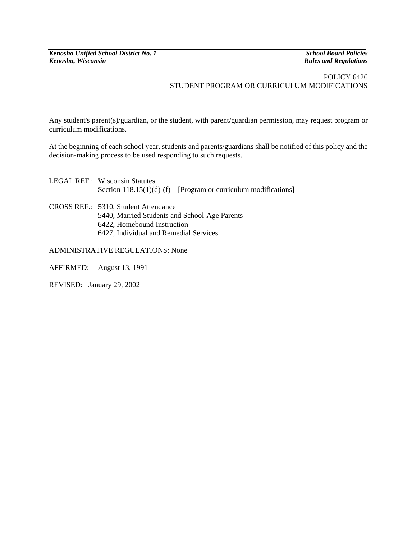*Rules and Regulations* 

## POLICY 6426 STUDENT PROGRAM OR CURRICULUM MODIFICATIONS

Any student's parent(s)/guardian, or the student, with parent/guardian permission, may request program or curriculum modifications.

At the beginning of each school year, students and parents/guardians shall be notified of this policy and the decision-making process to be used responding to such requests.

| <b>LEGAL REF.: Wisconsin Statutes</b><br>Section $118.15(1)(d)$ -(f) [Program or curriculum modifications] |
|------------------------------------------------------------------------------------------------------------|
| CROSS REF.: 5310, Student Attendance<br>5440, Married Students and School-Age Parents                      |
| 6422, Homebound Instruction                                                                                |

6427, Individual and Remedial Services

ADMINISTRATIVE REGULATIONS: None

AFFIRMED: August 13, 1991

REVISED:January 29, 2002